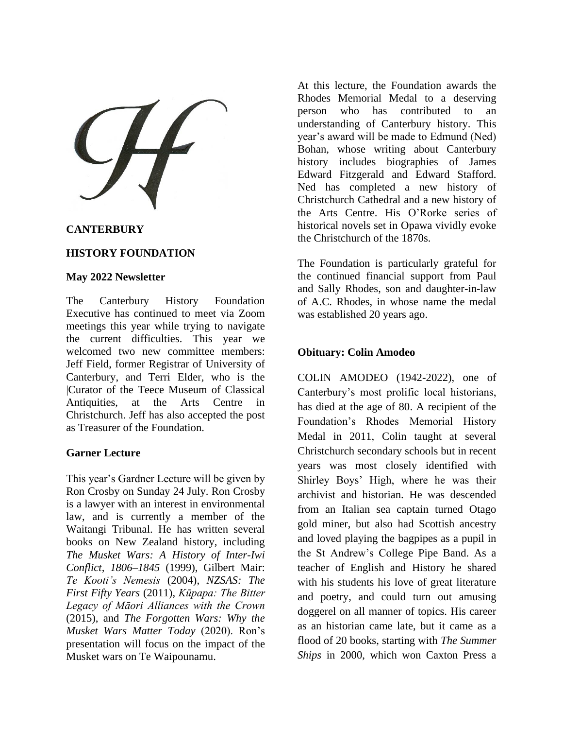## **CANTERBURY**

## **HISTORY FOUNDATION**

#### **May 2022 Newsletter**

The Canterbury History Foundation Executive has continued to meet via Zoom meetings this year while trying to navigate the current difficulties. This year we welcomed two new committee members: Jeff Field, former Registrar of University of Canterbury, and Terri Elder, who is the |Curator of the Teece Museum of Classical Antiquities, at the Arts Centre in Christchurch. Jeff has also accepted the post as Treasurer of the Foundation.

#### **Garner Lecture**

This year's Gardner Lecture will be given by Ron Crosby on Sunday 24 July. Ron Crosby is a lawyer with an interest in environmental law, and is currently a member of the Waitangi Tribunal. He has written several books on New Zealand history, including *The Musket Wars: A History of Inter-Iwi Conflict, 1806–1845* (1999), Gilbert Mair: *Te Kooti's Nemesis* (2004), *NZSAS: The First Fifty Years* (2011), *Kūpapa: The Bitter Legacy of Māori Alliances with the Crown* (2015), and *The Forgotten Wars: Why the Musket Wars Matter Today* (2020). Ron's presentation will focus on the impact of the Musket wars on Te Waipounamu.

At this lecture, the Foundation awards the Rhodes Memorial Medal to a deserving person who has contributed to an understanding of Canterbury history. This year's award will be made to Edmund (Ned) Bohan, whose writing about Canterbury history includes biographies of James Edward Fitzgerald and Edward Stafford. Ned has completed a new history of Christchurch Cathedral and a new history of the Arts Centre. His O'Rorke series of historical novels set in Opawa vividly evoke the Christchurch of the 1870s.

The Foundation is particularly grateful for the continued financial support from Paul and Sally Rhodes, son and daughter-in-law of A.C. Rhodes, in whose name the medal was established 20 years ago.

### **Obituary: Colin Amodeo**

COLIN AMODEO (1942-2022), one of Canterbury's most prolific local historians, has died at the age of 80. A recipient of the Foundation's Rhodes Memorial History Medal in 2011, Colin taught at several Christchurch secondary schools but in recent years was most closely identified with Shirley Boys' High, where he was their archivist and historian. He was descended from an Italian sea captain turned Otago gold miner, but also had Scottish ancestry and loved playing the bagpipes as a pupil in the St Andrew's College Pipe Band. As a teacher of English and History he shared with his students his love of great literature and poetry, and could turn out amusing doggerel on all manner of topics. His career as an historian came late, but it came as a flood of 20 books, starting with *The Summer Ships* in 2000, which won Caxton Press a